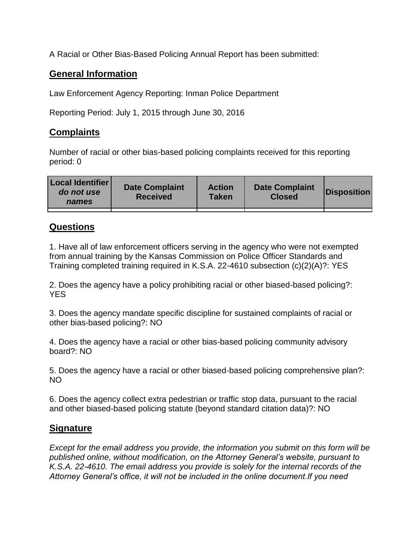A Racial or Other Bias-Based Policing Annual Report has been submitted:

## **General Information**

Law Enforcement Agency Reporting: Inman Police Department

Reporting Period: July 1, 2015 through June 30, 2016

## **Complaints**

Number of racial or other bias-based policing complaints received for this reporting period: 0

| <b>Local Identifier</b><br>do not use<br>names | <b>Date Complaint</b><br><b>Received</b> | <b>Action</b><br><b>Taken</b> | <b>Date Complaint</b><br><b>Closed</b> | Disposition |
|------------------------------------------------|------------------------------------------|-------------------------------|----------------------------------------|-------------|
|                                                |                                          |                               |                                        |             |

## **Questions**

1. Have all of law enforcement officers serving in the agency who were not exempted from annual training by the Kansas Commission on Police Officer Standards and Training completed training required in K.S.A. 22-4610 subsection (c)(2)(A)?: YES

2. Does the agency have a policy prohibiting racial or other biased-based policing?: YES

3. Does the agency mandate specific discipline for sustained complaints of racial or other bias-based policing?: NO

4. Does the agency have a racial or other bias-based policing community advisory board?: NO

5. Does the agency have a racial or other biased-based policing comprehensive plan?: NO

6. Does the agency collect extra pedestrian or traffic stop data, pursuant to the racial and other biased-based policing statute (beyond standard citation data)?: NO

## **Signature**

*Except for the email address you provide, the information you submit on this form will be published online, without modification, on the Attorney General's website, pursuant to K.S.A. 22-4610. The email address you provide is solely for the internal records of the Attorney General's office, it will not be included in the online document.If you need*